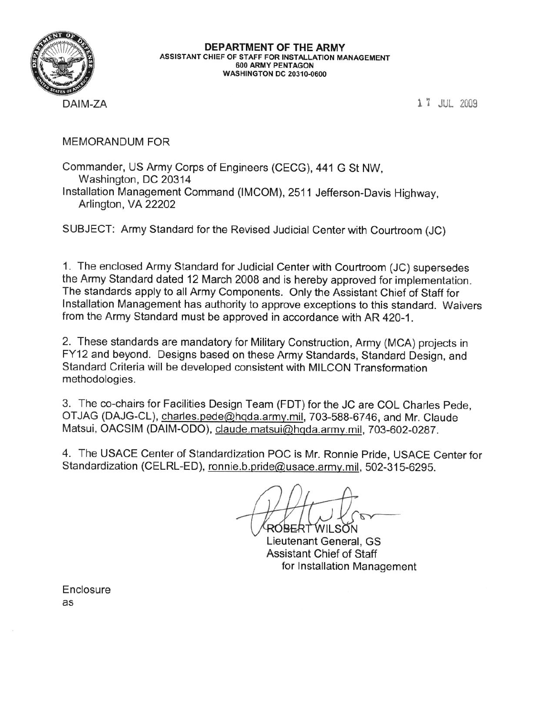

DEPARTMENT OF THE ARMY ASSISTANT CHIEF OF STAFF FOR INSTALLATION MANAGEMENT 600 ARMY PENTAGON **WASHINGTON DC 20310-0600** 

1 7 JUL 2009

**MEMORANDUM FOR** 

Commander, US Army Corps of Engineers (CECG), 441 G St NW, Washington, DC 20314 Installation Management Command (IMCOM), 2511 Jefferson-Davis Highway, Arlington, VA 22202

SUBJECT: Army Standard for the Revised Judicial Center with Courtroom (JC)

1. The enclosed Army Standard for Judicial Center with Courtroom (JC) supersedes the Army Standard dated 12 March 2008 and is hereby approved for implementation. The standards apply to all Army Components. Only the Assistant Chief of Staff for Installation Management has authority to approve exceptions to this standard. Waivers from the Army Standard must be approved in accordance with AR 420-1.

2. These standards are mandatory for Military Construction, Army (MCA) projects in FY12 and beyond. Designs based on these Army Standards, Standard Design, and Standard Criteria will be developed consistent with MILCON Transformation methodologies.

3. The co-chairs for Facilities Design Team (FDT) for the JC are COL Charles Pede. OTJAG (DAJG-CL), charles.pede@hqda.army.mil, 703-588-6746, and Mr. Claude Matsui, OACSIM (DAIM-ODO), claude.matsui@hqda.army.mil, 703-602-0287.

4. The USACE Center of Standardization POC is Mr. Ronnie Pride, USACE Center for Standardization (CELRL-ED), ronnie.b.pride@usace.army.mil, 502-315-6295.

**BERTWILSON** 

Lieutenant General, GS **Assistant Chief of Staff** for Installation Management

Enclosure as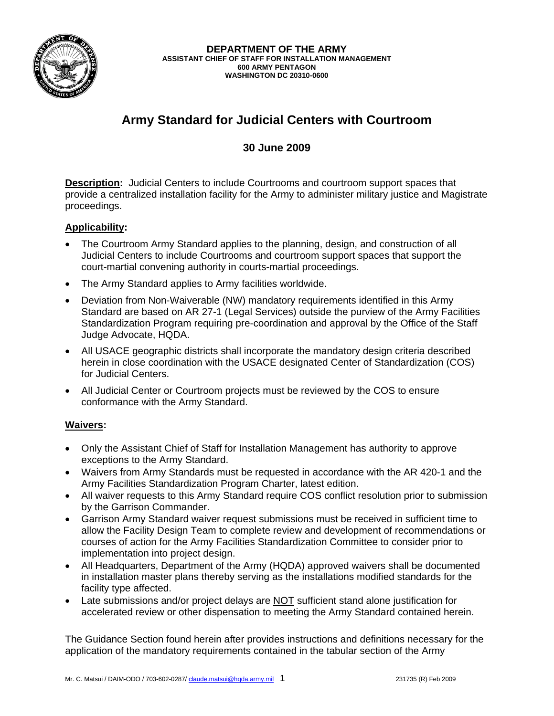

**DEPARTMENT OF THE ARMY ASSISTANT CHIEF OF STAFF FOR INSTALLATION MANAGEMENT 600 ARMY PENTAGON WASHINGTON DC 20310-0600** 

# **Army Standard for Judicial Centers with Courtroom**

## **30 June 2009**

**Description:** Judicial Centers to include Courtrooms and courtroom support spaces that provide a centralized installation facility for the Army to administer military justice and Magistrate proceedings.

#### **Applicability:**

- The Courtroom Army Standard applies to the planning, design, and construction of all Judicial Centers to include Courtrooms and courtroom support spaces that support the court-martial convening authority in courts-martial proceedings.
- The Army Standard applies to Army facilities worldwide.
- Deviation from Non-Waiverable (NW) mandatory requirements identified in this Army Standard are based on AR 27-1 (Legal Services) outside the purview of the Army Facilities Standardization Program requiring pre-coordination and approval by the Office of the Staff Judge Advocate, HQDA.
- All USACE geographic districts shall incorporate the mandatory design criteria described herein in close coordination with the USACE designated Center of Standardization (COS) for Judicial Centers.
- All Judicial Center or Courtroom projects must be reviewed by the COS to ensure conformance with the Army Standard.

#### **Waivers:**

- Only the Assistant Chief of Staff for Installation Management has authority to approve exceptions to the Army Standard.
- Waivers from Army Standards must be requested in accordance with the AR 420-1 and the Army Facilities Standardization Program Charter, latest edition.
- All waiver requests to this Army Standard require COS conflict resolution prior to submission by the Garrison Commander.
- Garrison Army Standard waiver request submissions must be received in sufficient time to allow the Facility Design Team to complete review and development of recommendations or courses of action for the Army Facilities Standardization Committee to consider prior to implementation into project design.
- All Headquarters, Department of the Army (HQDA) approved waivers shall be documented in installation master plans thereby serving as the installations modified standards for the facility type affected.
- Late submissions and/or project delays are NOT sufficient stand alone justification for accelerated review or other dispensation to meeting the Army Standard contained herein.

The Guidance Section found herein after provides instructions and definitions necessary for the application of the mandatory requirements contained in the tabular section of the Army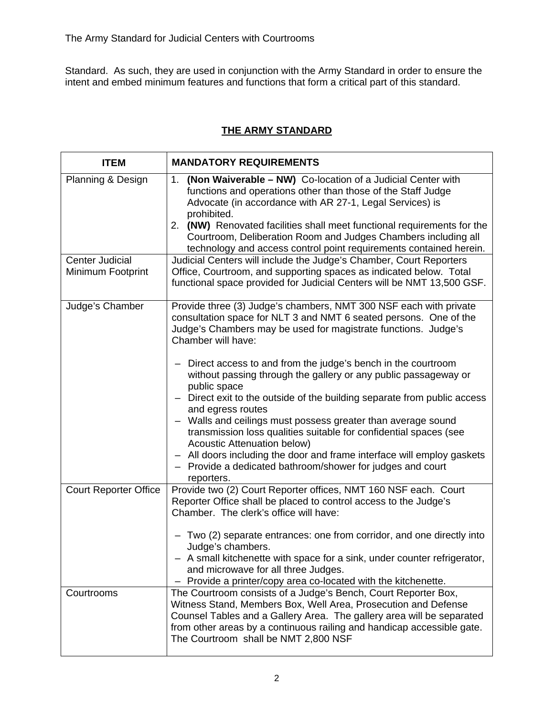Standard. As such, they are used in conjunction with the Army Standard in order to ensure the intent and embed minimum features and functions that form a critical part of this standard.

### **THE ARMY STANDARD**

| <b>ITEM</b>                                 | <b>MANDATORY REQUIREMENTS</b>                                                                                                                                                                                                                                                                                                                                                                                                                                                                                                                                                                                                                                                                                                                                                                |
|---------------------------------------------|----------------------------------------------------------------------------------------------------------------------------------------------------------------------------------------------------------------------------------------------------------------------------------------------------------------------------------------------------------------------------------------------------------------------------------------------------------------------------------------------------------------------------------------------------------------------------------------------------------------------------------------------------------------------------------------------------------------------------------------------------------------------------------------------|
| Planning & Design                           | (Non Waiverable - NW) Co-location of a Judicial Center with<br>1.<br>functions and operations other than those of the Staff Judge<br>Advocate (in accordance with AR 27-1, Legal Services) is<br>prohibited.<br>2. (NW) Renovated facilities shall meet functional requirements for the<br>Courtroom, Deliberation Room and Judges Chambers including all<br>technology and access control point requirements contained herein.                                                                                                                                                                                                                                                                                                                                                              |
| <b>Center Judicial</b><br>Minimum Footprint | Judicial Centers will include the Judge's Chamber, Court Reporters<br>Office, Courtroom, and supporting spaces as indicated below. Total<br>functional space provided for Judicial Centers will be NMT 13,500 GSF.                                                                                                                                                                                                                                                                                                                                                                                                                                                                                                                                                                           |
| Judge's Chamber                             | Provide three (3) Judge's chambers, NMT 300 NSF each with private<br>consultation space for NLT 3 and NMT 6 seated persons. One of the<br>Judge's Chambers may be used for magistrate functions. Judge's<br>Chamber will have:<br>- Direct access to and from the judge's bench in the courtroom<br>without passing through the gallery or any public passageway or<br>public space<br>Direct exit to the outside of the building separate from public access<br>and egress routes<br>Walls and ceilings must possess greater than average sound<br>transmission loss qualities suitable for confidential spaces (see<br>Acoustic Attenuation below)<br>- All doors including the door and frame interface will employ gaskets<br>- Provide a dedicated bathroom/shower for judges and court |
| <b>Court Reporter Office</b>                | reporters.<br>Provide two (2) Court Reporter offices, NMT 160 NSF each. Court<br>Reporter Office shall be placed to control access to the Judge's<br>Chamber. The clerk's office will have:<br>- Two (2) separate entrances: one from corridor, and one directly into<br>Judge's chambers.<br>A small kitchenette with space for a sink, under counter refrigerator,<br>and microwave for all three Judges.<br>Provide a printer/copy area co-located with the kitchenette.                                                                                                                                                                                                                                                                                                                  |
| Courtrooms                                  | The Courtroom consists of a Judge's Bench, Court Reporter Box,<br>Witness Stand, Members Box, Well Area, Prosecution and Defense<br>Counsel Tables and a Gallery Area. The gallery area will be separated<br>from other areas by a continuous railing and handicap accessible gate.<br>The Courtroom shall be NMT 2,800 NSF                                                                                                                                                                                                                                                                                                                                                                                                                                                                  |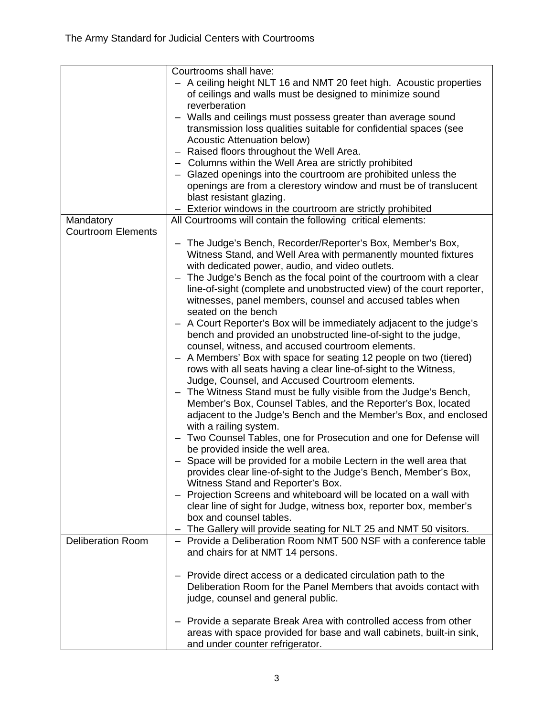|                           | Courtrooms shall have:                                                                |
|---------------------------|---------------------------------------------------------------------------------------|
|                           | - A ceiling height NLT 16 and NMT 20 feet high. Acoustic properties                   |
|                           | of ceilings and walls must be designed to minimize sound                              |
|                           | reverberation                                                                         |
|                           | - Walls and ceilings must possess greater than average sound                          |
|                           | transmission loss qualities suitable for confidential spaces (see                     |
|                           |                                                                                       |
|                           | Acoustic Attenuation below)                                                           |
|                           | Raised floors throughout the Well Area.                                               |
|                           | - Columns within the Well Area are strictly prohibited                                |
|                           | - Glazed openings into the courtroom are prohibited unless the                        |
|                           | openings are from a clerestory window and must be of translucent                      |
|                           | blast resistant glazing.                                                              |
|                           | Exterior windows in the courtroom are strictly prohibited                             |
| Mandatory                 | All Courtrooms will contain the following critical elements:                          |
| <b>Courtroom Elements</b> |                                                                                       |
|                           | The Judge's Bench, Recorder/Reporter's Box, Member's Box,                             |
|                           | Witness Stand, and Well Area with permanently mounted fixtures                        |
|                           | with dedicated power, audio, and video outlets.                                       |
|                           |                                                                                       |
|                           | The Judge's Bench as the focal point of the courtroom with a clear                    |
|                           | line-of-sight (complete and unobstructed view) of the court reporter,                 |
|                           | witnesses, panel members, counsel and accused tables when                             |
|                           | seated on the bench                                                                   |
|                           | - A Court Reporter's Box will be immediately adjacent to the judge's                  |
|                           | bench and provided an unobstructed line-of-sight to the judge,                        |
|                           | counsel, witness, and accused courtroom elements.                                     |
|                           | A Members' Box with space for seating 12 people on two (tiered)                       |
|                           | rows with all seats having a clear line-of-sight to the Witness,                      |
|                           | Judge, Counsel, and Accused Courtroom elements.                                       |
|                           | The Witness Stand must be fully visible from the Judge's Bench,<br>$\qquad \qquad -$  |
|                           | Member's Box, Counsel Tables, and the Reporter's Box, located                         |
|                           | adjacent to the Judge's Bench and the Member's Box, and enclosed                      |
|                           |                                                                                       |
|                           | with a railing system.                                                                |
|                           | Two Counsel Tables, one for Prosecution and one for Defense will                      |
|                           | be provided inside the well area.                                                     |
|                           | - Space will be provided for a mobile Lectern in the well area that                   |
|                           | provides clear line-of-sight to the Judge's Bench, Member's Box,                      |
|                           | Witness Stand and Reporter's Box.                                                     |
|                           | Projection Screens and whiteboard will be located on a wall with<br>$\qquad \qquad -$ |
|                           | clear line of sight for Judge, witness box, reporter box, member's                    |
|                           | box and counsel tables.                                                               |
|                           | - The Gallery will provide seating for NLT 25 and NMT 50 visitors.                    |
| <b>Deliberation Room</b>  | - Provide a Deliberation Room NMT 500 NSF with a conference table                     |
|                           | and chairs for at NMT 14 persons.                                                     |
|                           |                                                                                       |
|                           |                                                                                       |
|                           | Provide direct access or a dedicated circulation path to the                          |
|                           | Deliberation Room for the Panel Members that avoids contact with                      |
|                           | judge, counsel and general public.                                                    |
|                           |                                                                                       |
|                           | Provide a separate Break Area with controlled access from other                       |
|                           | areas with space provided for base and wall cabinets, built-in sink,                  |
|                           | and under counter refrigerator.                                                       |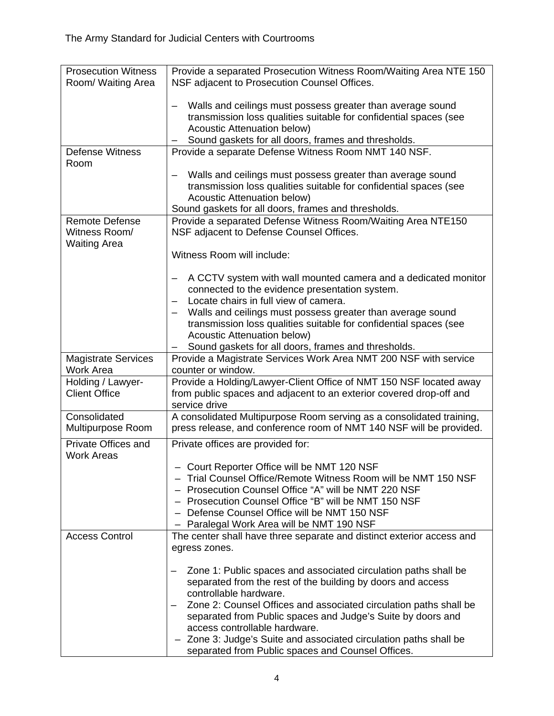| <b>Prosecution Witness</b> | Provide a separated Prosecution Witness Room/Waiting Area NTE 150                          |
|----------------------------|--------------------------------------------------------------------------------------------|
| Room/ Waiting Area         | NSF adjacent to Prosecution Counsel Offices.                                               |
|                            |                                                                                            |
|                            | Walls and ceilings must possess greater than average sound<br>$\qquad \qquad \qquad$       |
|                            | transmission loss qualities suitable for confidential spaces (see                          |
|                            | <b>Acoustic Attenuation below)</b>                                                         |
|                            | Sound gaskets for all doors, frames and thresholds.                                        |
| <b>Defense Witness</b>     | Provide a separate Defense Witness Room NMT 140 NSF.                                       |
| Room                       |                                                                                            |
|                            | Walls and ceilings must possess greater than average sound<br>$\overline{\phantom{m}}$     |
|                            | transmission loss qualities suitable for confidential spaces (see                          |
|                            | <b>Acoustic Attenuation below)</b>                                                         |
|                            | Sound gaskets for all doors, frames and thresholds.                                        |
| Remote Defense             | Provide a separated Defense Witness Room/Waiting Area NTE150                               |
| Witness Room/              | NSF adjacent to Defense Counsel Offices.                                                   |
|                            |                                                                                            |
| <b>Waiting Area</b>        |                                                                                            |
|                            | Witness Room will include:                                                                 |
|                            |                                                                                            |
|                            | A CCTV system with wall mounted camera and a dedicated monitor<br>$\overline{\phantom{m}}$ |
|                            | connected to the evidence presentation system.                                             |
|                            | Locate chairs in full view of camera.<br>$\qquad \qquad -$                                 |
|                            | Walls and ceilings must possess greater than average sound                                 |
|                            | transmission loss qualities suitable for confidential spaces (see                          |
|                            | <b>Acoustic Attenuation below)</b>                                                         |
|                            | Sound gaskets for all doors, frames and thresholds.                                        |
| <b>Magistrate Services</b> | Provide a Magistrate Services Work Area NMT 200 NSF with service                           |
| <b>Work Area</b>           | counter or window.                                                                         |
| Holding / Lawyer-          | Provide a Holding/Lawyer-Client Office of NMT 150 NSF located away                         |
| <b>Client Office</b>       | from public spaces and adjacent to an exterior covered drop-off and                        |
|                            | service drive                                                                              |
| Consolidated               | A consolidated Multipurpose Room serving as a consolidated training,                       |
| Multipurpose Room          | press release, and conference room of NMT 140 NSF will be provided.                        |
| Private Offices and        | Private offices are provided for:                                                          |
| <b>Work Areas</b>          |                                                                                            |
|                            | - Court Reporter Office will be NMT 120 NSF                                                |
|                            | - Trial Counsel Office/Remote Witness Room will be NMT 150 NSF                             |
|                            | - Prosecution Counsel Office "A" will be NMT 220 NSF                                       |
|                            | - Prosecution Counsel Office "B" will be NMT 150 NSF                                       |
|                            | - Defense Counsel Office will be NMT 150 NSF                                               |
|                            | - Paralegal Work Area will be NMT 190 NSF                                                  |
| <b>Access Control</b>      | The center shall have three separate and distinct exterior access and                      |
|                            |                                                                                            |
|                            | egress zones.                                                                              |
|                            |                                                                                            |
|                            | Zone 1: Public spaces and associated circulation paths shall be                            |
|                            | separated from the rest of the building by doors and access                                |
|                            | controllable hardware.                                                                     |
|                            | Zone 2: Counsel Offices and associated circulation paths shall be                          |
|                            | separated from Public spaces and Judge's Suite by doors and                                |
|                            | access controllable hardware.                                                              |
|                            | Zone 3: Judge's Suite and associated circulation paths shall be                            |
|                            | separated from Public spaces and Counsel Offices.                                          |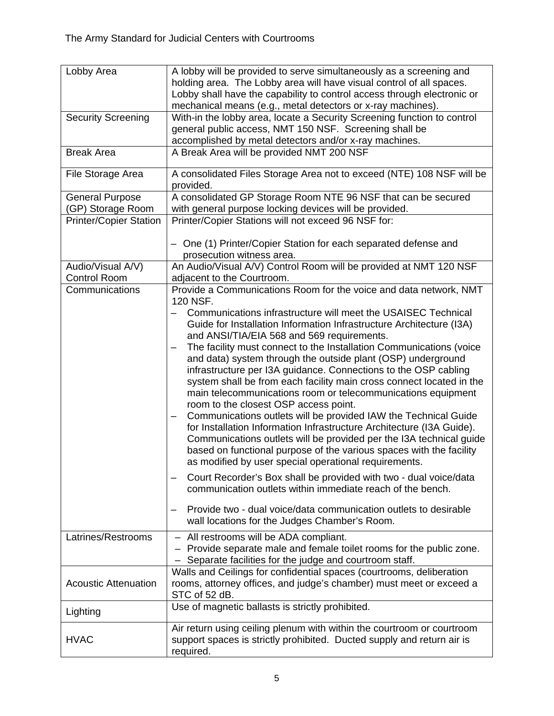| Lobby Area                                  | A lobby will be provided to serve simultaneously as a screening and<br>holding area. The Lobby area will have visual control of all spaces.<br>Lobby shall have the capability to control access through electronic or<br>mechanical means (e.g., metal detectors or x-ray machines).                                                                                                                                                                                                                                                                                                                                                                                                                                                                                                                                                                                                                                                                                                                                                                                                                                                                                                                                          |
|---------------------------------------------|--------------------------------------------------------------------------------------------------------------------------------------------------------------------------------------------------------------------------------------------------------------------------------------------------------------------------------------------------------------------------------------------------------------------------------------------------------------------------------------------------------------------------------------------------------------------------------------------------------------------------------------------------------------------------------------------------------------------------------------------------------------------------------------------------------------------------------------------------------------------------------------------------------------------------------------------------------------------------------------------------------------------------------------------------------------------------------------------------------------------------------------------------------------------------------------------------------------------------------|
| <b>Security Screening</b>                   | With-in the lobby area, locate a Security Screening function to control<br>general public access, NMT 150 NSF. Screening shall be<br>accomplished by metal detectors and/or x-ray machines.                                                                                                                                                                                                                                                                                                                                                                                                                                                                                                                                                                                                                                                                                                                                                                                                                                                                                                                                                                                                                                    |
| <b>Break Area</b>                           | A Break Area will be provided NMT 200 NSF                                                                                                                                                                                                                                                                                                                                                                                                                                                                                                                                                                                                                                                                                                                                                                                                                                                                                                                                                                                                                                                                                                                                                                                      |
| File Storage Area                           | A consolidated Files Storage Area not to exceed (NTE) 108 NSF will be<br>provided.                                                                                                                                                                                                                                                                                                                                                                                                                                                                                                                                                                                                                                                                                                                                                                                                                                                                                                                                                                                                                                                                                                                                             |
| <b>General Purpose</b><br>(GP) Storage Room | A consolidated GP Storage Room NTE 96 NSF that can be secured<br>with general purpose locking devices will be provided.                                                                                                                                                                                                                                                                                                                                                                                                                                                                                                                                                                                                                                                                                                                                                                                                                                                                                                                                                                                                                                                                                                        |
| <b>Printer/Copier Station</b>               | Printer/Copier Stations will not exceed 96 NSF for:                                                                                                                                                                                                                                                                                                                                                                                                                                                                                                                                                                                                                                                                                                                                                                                                                                                                                                                                                                                                                                                                                                                                                                            |
|                                             | - One (1) Printer/Copier Station for each separated defense and<br>prosecution witness area.                                                                                                                                                                                                                                                                                                                                                                                                                                                                                                                                                                                                                                                                                                                                                                                                                                                                                                                                                                                                                                                                                                                                   |
| Audio/Visual A/V)<br><b>Control Room</b>    | An Audio/Visual A/V) Control Room will be provided at NMT 120 NSF<br>adjacent to the Courtroom.                                                                                                                                                                                                                                                                                                                                                                                                                                                                                                                                                                                                                                                                                                                                                                                                                                                                                                                                                                                                                                                                                                                                |
| Communications                              | Provide a Communications Room for the voice and data network, NMT<br>120 NSF.<br>Communications infrastructure will meet the USAISEC Technical<br>Guide for Installation Information Infrastructure Architecture (I3A)<br>and ANSI/TIA/EIA 568 and 569 requirements.<br>The facility must connect to the Installation Communications (voice<br>—<br>and data) system through the outside plant (OSP) underground<br>infrastructure per I3A guidance. Connections to the OSP cabling<br>system shall be from each facility main cross connect located in the<br>main telecommunications room or telecommunications equipment<br>room to the closest OSP access point.<br>Communications outlets will be provided IAW the Technical Guide<br>for Installation Information Infrastructure Architecture (I3A Guide).<br>Communications outlets will be provided per the I3A technical guide<br>based on functional purpose of the various spaces with the facility<br>as modified by user special operational requirements.<br>Court Recorder's Box shall be provided with two - dual voice/data<br>communication outlets within immediate reach of the bench.<br>Provide two - dual voice/data communication outlets to desirable |
| Latrines/Restrooms                          | wall locations for the Judges Chamber's Room.<br>- All restrooms will be ADA compliant.                                                                                                                                                                                                                                                                                                                                                                                                                                                                                                                                                                                                                                                                                                                                                                                                                                                                                                                                                                                                                                                                                                                                        |
|                                             | - Provide separate male and female toilet rooms for the public zone.<br>Separate facilities for the judge and courtroom staff.                                                                                                                                                                                                                                                                                                                                                                                                                                                                                                                                                                                                                                                                                                                                                                                                                                                                                                                                                                                                                                                                                                 |
| <b>Acoustic Attenuation</b>                 | Walls and Ceilings for confidential spaces (courtrooms, deliberation<br>rooms, attorney offices, and judge's chamber) must meet or exceed a<br>STC of 52 dB.                                                                                                                                                                                                                                                                                                                                                                                                                                                                                                                                                                                                                                                                                                                                                                                                                                                                                                                                                                                                                                                                   |
| Lighting                                    | Use of magnetic ballasts is strictly prohibited.                                                                                                                                                                                                                                                                                                                                                                                                                                                                                                                                                                                                                                                                                                                                                                                                                                                                                                                                                                                                                                                                                                                                                                               |
| <b>HVAC</b>                                 | Air return using ceiling plenum with within the courtroom or courtroom<br>support spaces is strictly prohibited. Ducted supply and return air is<br>required.                                                                                                                                                                                                                                                                                                                                                                                                                                                                                                                                                                                                                                                                                                                                                                                                                                                                                                                                                                                                                                                                  |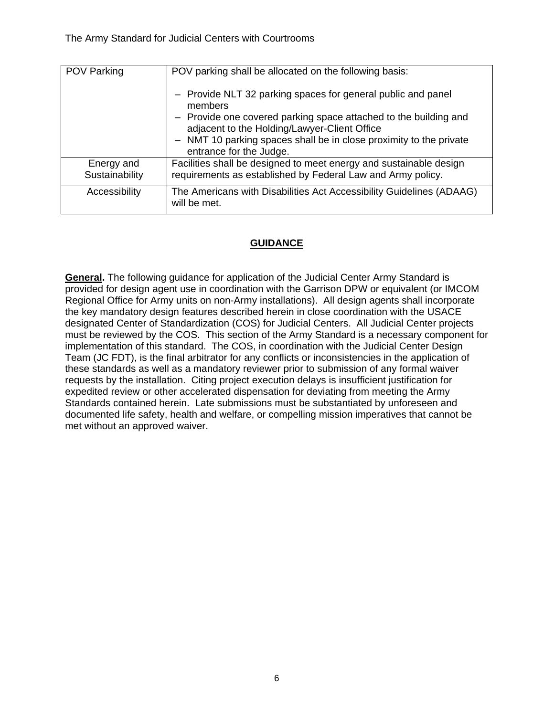| <b>POV Parking</b>           | POV parking shall be allocated on the following basis:<br>- Provide NLT 32 parking spaces for general public and panel<br>members<br>- Provide one covered parking space attached to the building and<br>adjacent to the Holding/Lawyer-Client Office<br>- NMT 10 parking spaces shall be in close proximity to the private |
|------------------------------|-----------------------------------------------------------------------------------------------------------------------------------------------------------------------------------------------------------------------------------------------------------------------------------------------------------------------------|
|                              | entrance for the Judge.                                                                                                                                                                                                                                                                                                     |
| Energy and<br>Sustainability | Facilities shall be designed to meet energy and sustainable design<br>requirements as established by Federal Law and Army policy.                                                                                                                                                                                           |
| Accessibility                | The Americans with Disabilities Act Accessibility Guidelines (ADAAG)<br>will be met.                                                                                                                                                                                                                                        |

# **GUIDANCE**

**General.** The following guidance for application of the Judicial Center Army Standard is provided for design agent use in coordination with the Garrison DPW or equivalent (or IMCOM Regional Office for Army units on non-Army installations). All design agents shall incorporate the key mandatory design features described herein in close coordination with the USACE designated Center of Standardization (COS) for Judicial Centers. All Judicial Center projects must be reviewed by the COS. This section of the Army Standard is a necessary component for implementation of this standard. The COS, in coordination with the Judicial Center Design Team (JC FDT), is the final arbitrator for any conflicts or inconsistencies in the application of these standards as well as a mandatory reviewer prior to submission of any formal waiver requests by the installation. Citing project execution delays is insufficient justification for expedited review or other accelerated dispensation for deviating from meeting the Army Standards contained herein. Late submissions must be substantiated by unforeseen and documented life safety, health and welfare, or compelling mission imperatives that cannot be met without an approved waiver.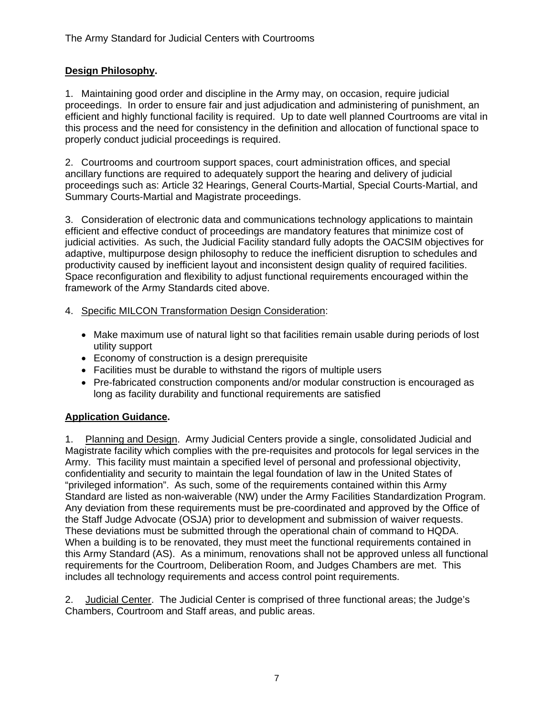## **Design Philosophy.**

1. Maintaining good order and discipline in the Army may, on occasion, require judicial proceedings. In order to ensure fair and just adjudication and administering of punishment, an efficient and highly functional facility is required. Up to date well planned Courtrooms are vital in this process and the need for consistency in the definition and allocation of functional space to properly conduct judicial proceedings is required.

2. Courtrooms and courtroom support spaces, court administration offices, and special ancillary functions are required to adequately support the hearing and delivery of judicial proceedings such as: Article 32 Hearings, General Courts-Martial, Special Courts-Martial, and Summary Courts-Martial and Magistrate proceedings.

3. Consideration of electronic data and communications technology applications to maintain efficient and effective conduct of proceedings are mandatory features that minimize cost of judicial activities. As such, the Judicial Facility standard fully adopts the OACSIM objectives for adaptive, multipurpose design philosophy to reduce the inefficient disruption to schedules and productivity caused by inefficient layout and inconsistent design quality of required facilities. Space reconfiguration and flexibility to adjust functional requirements encouraged within the framework of the Army Standards cited above.

- 4. Specific MILCON Transformation Design Consideration:
	- Make maximum use of natural light so that facilities remain usable during periods of lost utility support
	- Economy of construction is a design prerequisite
	- Facilities must be durable to withstand the rigors of multiple users
	- Pre-fabricated construction components and/or modular construction is encouraged as long as facility durability and functional requirements are satisfied

### **Application Guidance.**

1. Planning and Design. Army Judicial Centers provide a single, consolidated Judicial and Magistrate facility which complies with the pre-requisites and protocols for legal services in the Army. This facility must maintain a specified level of personal and professional objectivity, confidentiality and security to maintain the legal foundation of law in the United States of "privileged information". As such, some of the requirements contained within this Army Standard are listed as non-waiverable (NW) under the Army Facilities Standardization Program. Any deviation from these requirements must be pre-coordinated and approved by the Office of the Staff Judge Advocate (OSJA) prior to development and submission of waiver requests. These deviations must be submitted through the operational chain of command to HQDA. When a building is to be renovated, they must meet the functional requirements contained in this Army Standard (AS). As a minimum, renovations shall not be approved unless all functional requirements for the Courtroom, Deliberation Room, and Judges Chambers are met. This includes all technology requirements and access control point requirements.

2. Judicial Center. The Judicial Center is comprised of three functional areas; the Judge's Chambers, Courtroom and Staff areas, and public areas.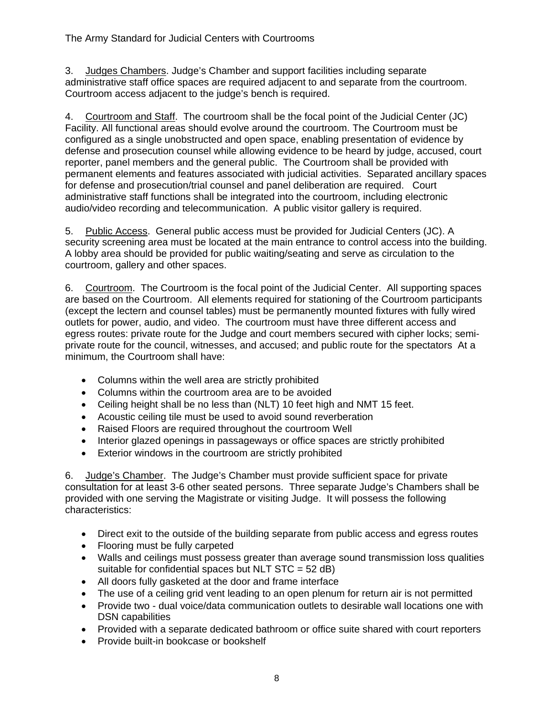3. Judges Chambers. Judge's Chamber and support facilities including separate administrative staff office spaces are required adjacent to and separate from the courtroom. Courtroom access adjacent to the judge's bench is required.

4. Courtroom and Staff. The courtroom shall be the focal point of the Judicial Center (JC) Facility. All functional areas should evolve around the courtroom. The Courtroom must be configured as a single unobstructed and open space, enabling presentation of evidence by defense and prosecution counsel while allowing evidence to be heard by judge, accused, court reporter, panel members and the general public. The Courtroom shall be provided with permanent elements and features associated with judicial activities. Separated ancillary spaces for defense and prosecution/trial counsel and panel deliberation are required. Court administrative staff functions shall be integrated into the courtroom, including electronic audio/video recording and telecommunication. A public visitor gallery is required.

5. Public Access. General public access must be provided for Judicial Centers (JC). A security screening area must be located at the main entrance to control access into the building. A lobby area should be provided for public waiting/seating and serve as circulation to the courtroom, gallery and other spaces.

6. Courtroom. The Courtroom is the focal point of the Judicial Center. All supporting spaces are based on the Courtroom. All elements required for stationing of the Courtroom participants (except the lectern and counsel tables) must be permanently mounted fixtures with fully wired outlets for power, audio, and video. The courtroom must have three different access and egress routes: private route for the Judge and court members secured with cipher locks; semiprivate route for the council, witnesses, and accused; and public route for the spectators At a minimum, the Courtroom shall have:

- Columns within the well area are strictly prohibited
- Columns within the courtroom area are to be avoided
- Ceiling height shall be no less than (NLT) 10 feet high and NMT 15 feet.
- Acoustic ceiling tile must be used to avoid sound reverberation
- Raised Floors are required throughout the courtroom Well
- Interior glazed openings in passageways or office spaces are strictly prohibited
- Exterior windows in the courtroom are strictly prohibited

6. Judge's Chamber. The Judge's Chamber must provide sufficient space for private consultation for at least 3-6 other seated persons. Three separate Judge's Chambers shall be provided with one serving the Magistrate or visiting Judge. It will possess the following characteristics:

- Direct exit to the outside of the building separate from public access and egress routes
- Flooring must be fully carpeted
- Walls and ceilings must possess greater than average sound transmission loss qualities suitable for confidential spaces but NLT STC = 52 dB)
- All doors fully gasketed at the door and frame interface
- The use of a ceiling grid vent leading to an open plenum for return air is not permitted
- Provide two dual voice/data communication outlets to desirable wall locations one with DSN capabilities
- Provided with a separate dedicated bathroom or office suite shared with court reporters
- Provide built-in bookcase or bookshelf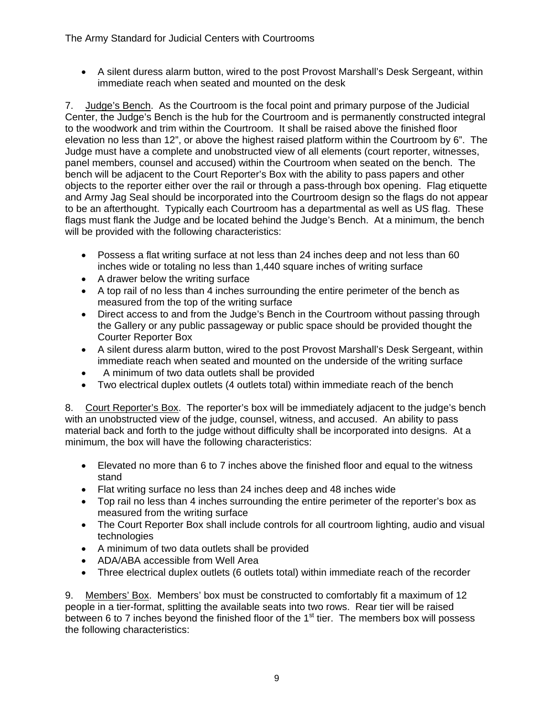• A silent duress alarm button, wired to the post Provost Marshall's Desk Sergeant, within immediate reach when seated and mounted on the desk

7. Judge's Bench. As the Courtroom is the focal point and primary purpose of the Judicial Center, the Judge's Bench is the hub for the Courtroom and is permanently constructed integral to the woodwork and trim within the Courtroom. It shall be raised above the finished floor elevation no less than 12", or above the highest raised platform within the Courtroom by 6". The Judge must have a complete and unobstructed view of all elements (court reporter, witnesses, panel members, counsel and accused) within the Courtroom when seated on the bench. The bench will be adjacent to the Court Reporter's Box with the ability to pass papers and other objects to the reporter either over the rail or through a pass-through box opening. Flag etiquette and Army Jag Seal should be incorporated into the Courtroom design so the flags do not appear to be an afterthought. Typically each Courtroom has a departmental as well as US flag. These flags must flank the Judge and be located behind the Judge's Bench. At a minimum, the bench will be provided with the following characteristics:

- Possess a flat writing surface at not less than 24 inches deep and not less than 60 inches wide or totaling no less than 1,440 square inches of writing surface
- A drawer below the writing surface
- A top rail of no less than 4 inches surrounding the entire perimeter of the bench as measured from the top of the writing surface
- Direct access to and from the Judge's Bench in the Courtroom without passing through the Gallery or any public passageway or public space should be provided thought the Courter Reporter Box
- A silent duress alarm button, wired to the post Provost Marshall's Desk Sergeant, within immediate reach when seated and mounted on the underside of the writing surface
- A minimum of two data outlets shall be provided
- Two electrical duplex outlets (4 outlets total) within immediate reach of the bench

8. Court Reporter's Box. The reporter's box will be immediately adjacent to the judge's bench with an unobstructed view of the judge, counsel, witness, and accused. An ability to pass material back and forth to the judge without difficulty shall be incorporated into designs. At a minimum, the box will have the following characteristics:

- Elevated no more than 6 to 7 inches above the finished floor and equal to the witness stand
- Flat writing surface no less than 24 inches deep and 48 inches wide
- Top rail no less than 4 inches surrounding the entire perimeter of the reporter's box as measured from the writing surface
- The Court Reporter Box shall include controls for all courtroom lighting, audio and visual technologies
- A minimum of two data outlets shall be provided
- ADA/ABA accessible from Well Area
- Three electrical duplex outlets (6 outlets total) within immediate reach of the recorder

9. Members' Box. Members' box must be constructed to comfortably fit a maximum of 12 people in a tier-format, splitting the available seats into two rows. Rear tier will be raised between 6 to 7 inches beyond the finished floor of the  $1<sup>st</sup>$  tier. The members box will possess the following characteristics: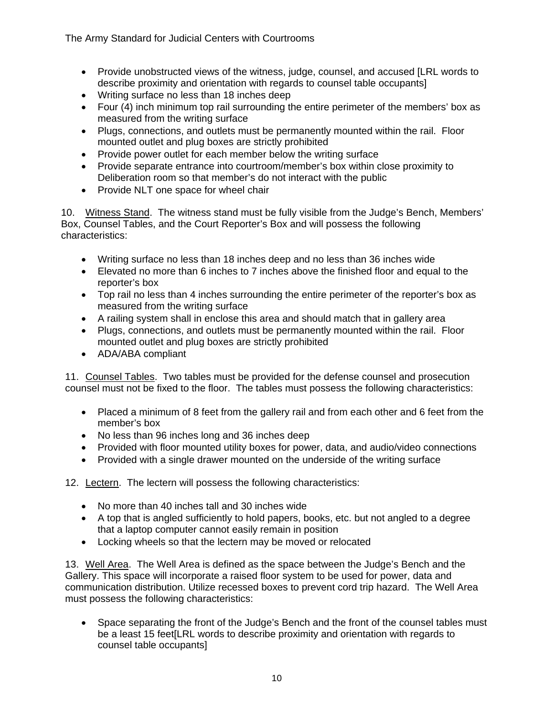The Army Standard for Judicial Centers with Courtrooms

- Provide unobstructed views of the witness, judge, counsel, and accused [LRL words to describe proximity and orientation with regards to counsel table occupants]
- Writing surface no less than 18 inches deep
- Four (4) inch minimum top rail surrounding the entire perimeter of the members' box as measured from the writing surface
- Plugs, connections, and outlets must be permanently mounted within the rail. Floor mounted outlet and plug boxes are strictly prohibited
- Provide power outlet for each member below the writing surface
- Provide separate entrance into courtroom/member's box within close proximity to Deliberation room so that member's do not interact with the public
- Provide NLT one space for wheel chair

10. Witness Stand. The witness stand must be fully visible from the Judge's Bench, Members' Box, Counsel Tables, and the Court Reporter's Box and will possess the following characteristics:

- Writing surface no less than 18 inches deep and no less than 36 inches wide
- Elevated no more than 6 inches to 7 inches above the finished floor and equal to the reporter's box
- Top rail no less than 4 inches surrounding the entire perimeter of the reporter's box as measured from the writing surface
- A railing system shall in enclose this area and should match that in gallery area
- Plugs, connections, and outlets must be permanently mounted within the rail. Floor mounted outlet and plug boxes are strictly prohibited
- ADA/ABA compliant

11. Counsel Tables. Two tables must be provided for the defense counsel and prosecution counsel must not be fixed to the floor. The tables must possess the following characteristics:

- Placed a minimum of 8 feet from the gallery rail and from each other and 6 feet from the member's box
- No less than 96 inches long and 36 inches deep
- Provided with floor mounted utility boxes for power, data, and audio/video connections
- Provided with a single drawer mounted on the underside of the writing surface

12. Lectern. The lectern will possess the following characteristics:

- No more than 40 inches tall and 30 inches wide
- A top that is angled sufficiently to hold papers, books, etc. but not angled to a degree that a laptop computer cannot easily remain in position
- Locking wheels so that the lectern may be moved or relocated

13. Well Area. The Well Area is defined as the space between the Judge's Bench and the Gallery. This space will incorporate a raised floor system to be used for power, data and communication distribution. Utilize recessed boxes to prevent cord trip hazard. The Well Area must possess the following characteristics:

• Space separating the front of the Judge's Bench and the front of the counsel tables must be a least 15 feet[LRL words to describe proximity and orientation with regards to counsel table occupants]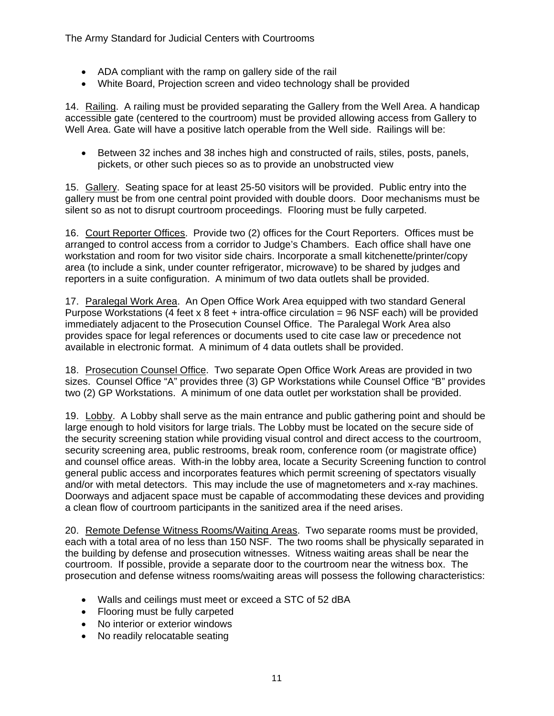The Army Standard for Judicial Centers with Courtrooms

- ADA compliant with the ramp on gallery side of the rail
- White Board, Projection screen and video technology shall be provided

14. Railing. A railing must be provided separating the Gallery from the Well Area. A handicap accessible gate (centered to the courtroom) must be provided allowing access from Gallery to Well Area. Gate will have a positive latch operable from the Well side. Railings will be:

• Between 32 inches and 38 inches high and constructed of rails, stiles, posts, panels, pickets, or other such pieces so as to provide an unobstructed view

15. Gallery. Seating space for at least 25-50 visitors will be provided. Public entry into the gallery must be from one central point provided with double doors. Door mechanisms must be silent so as not to disrupt courtroom proceedings. Flooring must be fully carpeted.

16. Court Reporter Offices. Provide two (2) offices for the Court Reporters. Offices must be arranged to control access from a corridor to Judge's Chambers. Each office shall have one workstation and room for two visitor side chairs. Incorporate a small kitchenette/printer/copy area (to include a sink, under counter refrigerator, microwave) to be shared by judges and reporters in a suite configuration. A minimum of two data outlets shall be provided.

17. Paralegal Work Area. An Open Office Work Area equipped with two standard General Purpose Workstations (4 feet x 8 feet + intra-office circulation = 96 NSF each) will be provided immediately adjacent to the Prosecution Counsel Office. The Paralegal Work Area also provides space for legal references or documents used to cite case law or precedence not available in electronic format. A minimum of 4 data outlets shall be provided.

18. Prosecution Counsel Office. Two separate Open Office Work Areas are provided in two sizes. Counsel Office "A" provides three (3) GP Workstations while Counsel Office "B" provides two (2) GP Workstations. A minimum of one data outlet per workstation shall be provided.

19. Lobby. A Lobby shall serve as the main entrance and public gathering point and should be large enough to hold visitors for large trials. The Lobby must be located on the secure side of the security screening station while providing visual control and direct access to the courtroom, security screening area, public restrooms, break room, conference room (or magistrate office) and counsel office areas. With-in the lobby area, locate a Security Screening function to control general public access and incorporates features which permit screening of spectators visually and/or with metal detectors. This may include the use of magnetometers and x-ray machines. Doorways and adjacent space must be capable of accommodating these devices and providing a clean flow of courtroom participants in the sanitized area if the need arises.

20. Remote Defense Witness Rooms/Waiting Areas. Two separate rooms must be provided, each with a total area of no less than 150 NSF. The two rooms shall be physically separated in the building by defense and prosecution witnesses. Witness waiting areas shall be near the courtroom. If possible, provide a separate door to the courtroom near the witness box. The prosecution and defense witness rooms/waiting areas will possess the following characteristics:

- Walls and ceilings must meet or exceed a STC of 52 dBA
- Flooring must be fully carpeted
- No interior or exterior windows
- No readily relocatable seating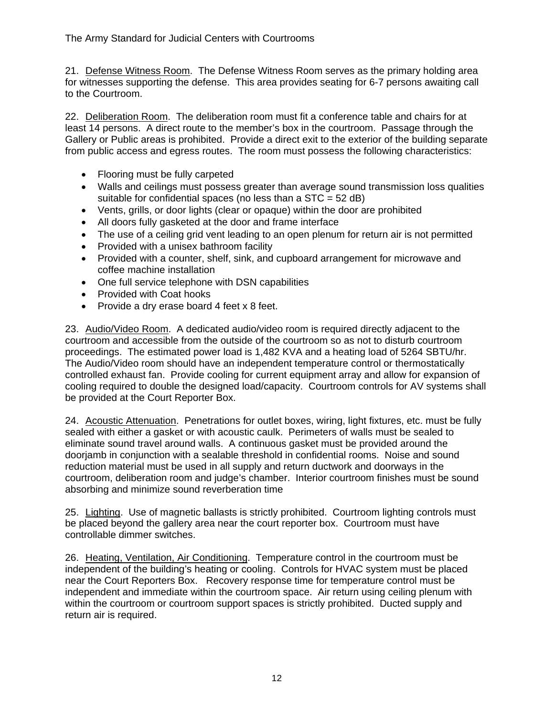21. Defense Witness Room. The Defense Witness Room serves as the primary holding area for witnesses supporting the defense. This area provides seating for 6-7 persons awaiting call to the Courtroom.

22. Deliberation Room. The deliberation room must fit a conference table and chairs for at least 14 persons. A direct route to the member's box in the courtroom. Passage through the Gallery or Public areas is prohibited. Provide a direct exit to the exterior of the building separate from public access and egress routes. The room must possess the following characteristics:

- Flooring must be fully carpeted
- Walls and ceilings must possess greater than average sound transmission loss qualities suitable for confidential spaces (no less than a STC = 52 dB)
- Vents, grills, or door lights (clear or opaque) within the door are prohibited
- All doors fully gasketed at the door and frame interface
- The use of a ceiling grid vent leading to an open plenum for return air is not permitted
- Provided with a unisex bathroom facility
- Provided with a counter, shelf, sink, and cupboard arrangement for microwave and coffee machine installation
- One full service telephone with DSN capabilities
- Provided with Coat hooks
- Provide a dry erase board 4 feet x 8 feet.

23. Audio/Video Room. A dedicated audio/video room is required directly adjacent to the courtroom and accessible from the outside of the courtroom so as not to disturb courtroom proceedings. The estimated power load is 1,482 KVA and a heating load of 5264 SBTU/hr. The Audio/Video room should have an independent temperature control or thermostatically controlled exhaust fan. Provide cooling for current equipment array and allow for expansion of cooling required to double the designed load/capacity. Courtroom controls for AV systems shall be provided at the Court Reporter Box.

24. Acoustic Attenuation. Penetrations for outlet boxes, wiring, light fixtures, etc. must be fully sealed with either a gasket or with acoustic caulk. Perimeters of walls must be sealed to eliminate sound travel around walls. A continuous gasket must be provided around the doorjamb in conjunction with a sealable threshold in confidential rooms. Noise and sound reduction material must be used in all supply and return ductwork and doorways in the courtroom, deliberation room and judge's chamber. Interior courtroom finishes must be sound absorbing and minimize sound reverberation time

25. Lighting. Use of magnetic ballasts is strictly prohibited. Courtroom lighting controls must be placed beyond the gallery area near the court reporter box. Courtroom must have controllable dimmer switches.

26. Heating, Ventilation, Air Conditioning. Temperature control in the courtroom must be independent of the building's heating or cooling. Controls for HVAC system must be placed near the Court Reporters Box. Recovery response time for temperature control must be independent and immediate within the courtroom space. Air return using ceiling plenum with within the courtroom or courtroom support spaces is strictly prohibited. Ducted supply and return air is required.